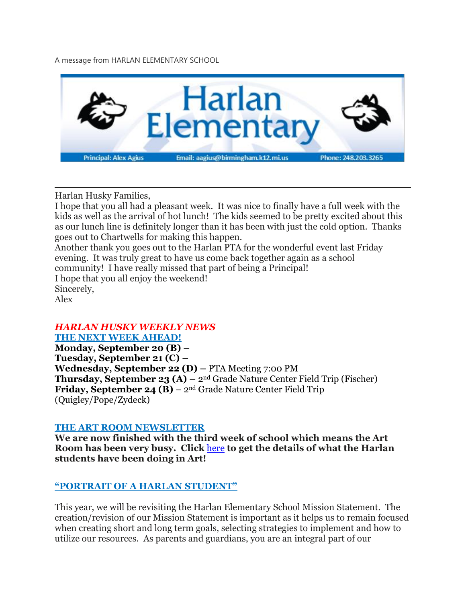A message from HARLAN ELEMENTARY SCHOOL



Harlan Husky Families,

I hope that you all had a pleasant week. It was nice to finally have a full week with the kids as well as the arrival of hot lunch! The kids seemed to be pretty excited about this as our lunch line is definitely longer than it has been with just the cold option. Thanks goes out to Chartwells for making this happen.

Another thank you goes out to the Harlan PTA for the wonderful event last Friday evening. It was truly great to have us come back together again as a school community! I have really missed that part of being a Principal! I hope that you all enjoy the weekend! Sincerely, Alex

# *HARLAN HUSKY WEEKLY NEWS*

**THE NEXT WEEK AHEAD!**

**Monday, September 20 (B) – Tuesday, September 21 (C) – Wednesday, September 22 (D) –** PTA Meeting 7:00 PM **Thursday, September 23 (A) –** 2nd Grade Nature Center Field Trip (Fischer) **Friday, September 24 (B)** – 2nd Grade Nature Center Field Trip (Quigley/Pope/Zydeck)

#### **THE ART ROOM NEWSLETTER**

**We are now finished with the third week of school which means the Art Room has been very busy. Click** [here](https://drive.google.com/file/d/1XwDk_0J0Turwu60ckw90hhD_vTDTZrSG/view?usp=sharing) **to get the details of what the Harlan students have been doing in Art!**

#### **"PORTRAIT OF A HARLAN STUDENT"**

This year, we will be revisiting the Harlan Elementary School Mission Statement. The creation/revision of our Mission Statement is important as it helps us to remain focused when creating short and long term goals, selecting strategies to implement and how to utilize our resources. As parents and guardians, you are an integral part of our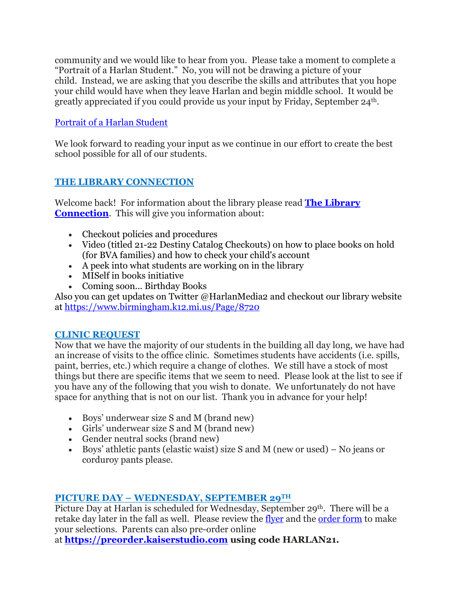community and we would like to hear from you. Please take a moment to complete a "Portrait of a Harlan Student." No, you will not be drawing a picture of your child. Instead, we are asking that you describe the skills and attributes that you hope your child would have when they leave Harlan and begin middle school. It would be greatly appreciated if you could provide us your input by Friday, September 24th.

# Portrait of a Harlan [Student](https://docs.google.com/forms/d/e/1FAIpQLSezFNqj1DwEnKgghWxC9N1R7ZBCwIhseLKOHS-HsdWn-zl_6Q/viewform?usp=sf_link)

We look forward to reading your input as we continue in our effort to create the best school possible for all of our students.

# **THE LIBRARY CONNECTION**

Welcome back! For information about the library please read **The [Library](https://www.smore.com/v1k4s) [Connection](https://www.smore.com/v1k4s)**. This will give you information about:

- Checkout policies and procedures
- Video (titled 21-22 Destiny Catalog Checkouts) on how to place books on hold (for BVA families) and how to check your child's account
- A peek into what students are working on in the library
- MISelf in books initiative
- Coming soon... Birthday Books

Also you can get updates on Twitter @HarlanMedia2 and checkout our library website at <https://www.birmingham.k12.mi.us/Page/8720>

# **CLINIC REQUEST**

Now that we have the majority of our students in the building all day long, we have had an increase of visits to the office clinic. Sometimes students have accidents (i.e. spills, paint, berries, etc.) which require a change of clothes. We still have a stock of most things but there are specific items that we seem to need. Please look at the list to see if you have any of the following that you wish to donate. We unfortunately do not have space for anything that is not on our list. Thank you in advance for your help!

- Boys' underwear size S and M (brand new)
- Girls' underwear size S and M (brand new)
- Gender neutral socks (brand new)
- Boys' athletic pants (elastic waist) size S and M (new or used) No jeans or corduroy pants please.

# **PICTURE DAY – WEDNESDAY, SEPTEMBER 29TH**

Picture Day at Harlan is scheduled for Wednesday, September 29th. There will be a retake day later in the fall as well. Please review the [flyer](https://drive.google.com/file/d/1SEc_aTmoA4PyTmNDNhpPpdyAfM_T2nGe/view?usp=sharing) and the [order](https://drive.google.com/file/d/121U7IhsSFLdYDhPPyTGt4COGKzoIH7Fg/view?usp=sharing) form to make your selections. Parents can also pre-order online

at **[https://preorder.kaiserstudio.com](https://preorder.kaiserstudio.com/) using code HARLAN21.**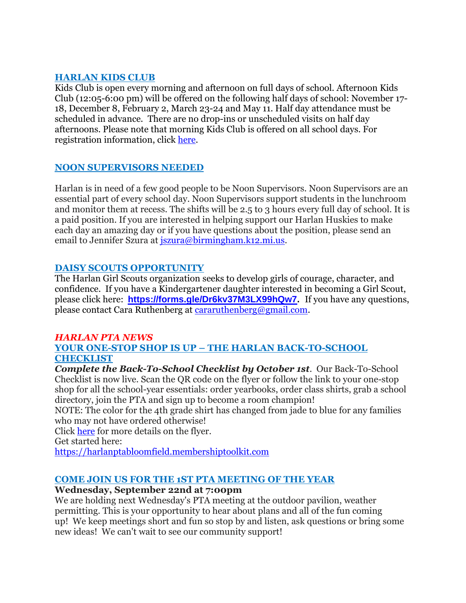### **HARLAN KIDS CLUB**

Kids Club is open every morning and afternoon on full days of school. Afternoon Kids Club (12:05-6:00 pm) will be offered on the following half days of school: November 17- 18, December 8, February 2, March 23-24 and May 11. Half day attendance must be scheduled in advance. There are no drop-ins or unscheduled visits on half day afternoons. Please note that morning Kids Club is offered on all school days. For registration information, click [here.](https://www.birmingham.k12.mi.us/cms/lib/MI01908619/Centricity/Domain/494/2021-2022%20KIDS%20CLUB%20registration%20instructions.pdf)

# **NOON SUPERVISORS NEEDED**

Harlan is in need of a few good people to be Noon Supervisors. Noon Supervisors are an essential part of every school day. Noon Supervisors support students in the lunchroom and monitor them at recess. The shifts will be 2.5 to 3 hours every full day of school. It is a paid position. If you are interested in helping support our Harlan Huskies to make each day an amazing day or if you have questions about the position, please send an email to Jennifer Szura at *[jszura@birmingham.k12.mi.us.](mailto:jszura@birmingham.k12.mi.us)* 

### **DAISY SCOUTS OPPORTUNITY**

The Harlan Girl Scouts organization seeks to develop girls of courage, character, and confidence. If you have a Kindergartener daughter interested in becoming a Girl Scout, please click here: **[https://forms.gle/Dr6kv37M3LX99hQw7.](https://forms.gle/Dr6kv37M3LX99hQw7)** If you have any questions, please contact Cara Ruthenberg at [cararuthenberg@gmail.com.](mailto:cararuthenberg@gmail.com)

# *HARLAN PTA NEWS*

#### **YOUR ONE-STOP SHOP IS UP – THE HARLAN BACK-TO-SCHOOL CHECKLIST**

*Complete the Back-To-School Checklist by October 1st.* Our Back-To-School Checklist is now live. Scan the QR code on the flyer or follow the link to your one-stop shop for all the school-year essentials: order yearbooks, order class shirts, grab a school directory, join the PTA and sign up to become a room champion!

NOTE: The color for the 4th grade shirt has changed from jade to blue for any families who may not have ordered otherwise!

Click [here](https://drive.google.com/file/d/1CY9U-lVxwWa1H7jVXMbqOaTOfcYvGk6S/view?usp=sharing) for more details on the flyer.

Get started here:

[https://harlanptabloomfield.membershiptoolkit.com](https://harlanptabloomfield.membershiptoolkit.com/)

# **COME JOIN US FOR THE 1ST PTA MEETING OF THE YEAR**

#### **Wednesday, September 22nd at 7:00pm**

We are holding next Wednesday's PTA meeting at the outdoor pavilion, weather permitting. This is your opportunity to hear about plans and all of the fun coming up! We keep meetings short and fun so stop by and listen, ask questions or bring some new ideas! We can't wait to see our community support!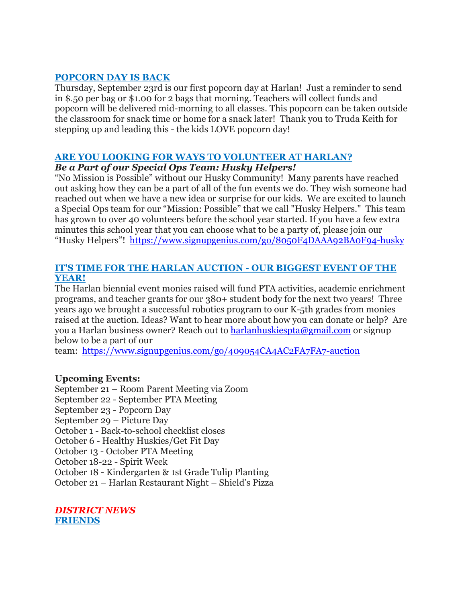#### **POPCORN DAY IS BACK**

Thursday, September 23rd is our first popcorn day at Harlan! Just a reminder to send in \$.50 per bag or \$1.00 for 2 bags that morning. Teachers will collect funds and popcorn will be delivered mid-morning to all classes. This popcorn can be taken outside the classroom for snack time or home for a snack later! Thank you to Truda Keith for stepping up and leading this - the kids LOVE popcorn day!

### **ARE YOU LOOKING FOR WAYS TO VOLUNTEER AT HARLAN?**

#### *Be a Part of our Special Ops Team: Husky Helpers!*

"No Mission is Possible" without our Husky Community! Many parents have reached out asking how they can be a part of all of the fun events we do. They wish someone had reached out when we have a new idea or surprise for our kids. We are excited to launch a Special Ops team for our "Mission: Possible" that we call "Husky Helpers." This team has grown to over 40 volunteers before the school year started. If you have a few extra minutes this school year that you can choose what to be a party of, please join our "Husky Helpers"! <https://www.signupgenius.com/go/8050F4DAAA92BA0F94-husky>

#### **IT'S TIME FOR THE HARLAN AUCTION - OUR BIGGEST EVENT OF THE YEAR!**

The Harlan biennial event monies raised will fund PTA activities, academic enrichment programs, and teacher grants for our 380+ student body for the next two years! Three years ago we brought a successful robotics program to our K-5th grades from monies raised at the auction. Ideas? Want to hear more about how you can donate or help? Are you a Harlan business owner? Reach out to [harlanhuskiespta@gmail.com](mailto:harlanhuskiespta@gmail.com) or signup below to be a part of our

team: <https://www.signupgenius.com/go/409054CA4AC2FA7FA7-auction>

#### **Upcoming Events:**

September 21 – Room Parent Meeting via Zoom September 22 - September PTA Meeting September 23 - Popcorn Day September 29 – Picture Day October 1 - Back-to-school checklist closes October 6 - Healthy Huskies/Get Fit Day October 13 - October PTA Meeting October 18-22 - Spirit Week October 18 - Kindergarten & 1st Grade Tulip Planting

October 21 – Harlan Restaurant Night – Shield's Pizza

*DISTRICT NEWS* **FRIENDS**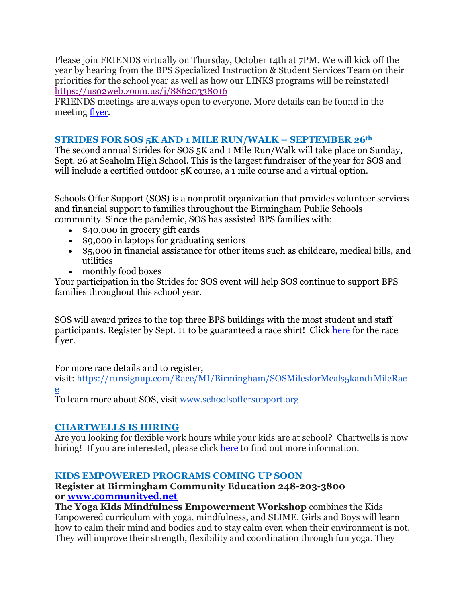Please join FRIENDS virtually on Thursday, October 14th at 7PM. We will kick off the year by hearing from the BPS Specialized Instruction & Student Services Team on their priorities for the school year as well as how our LINKS programs will be reinstated! <https://us02web.zoom.us/j/88620338016>

FRIENDS meetings are always open to everyone. More details can be found in the meeting [flyer.](https://drive.google.com/file/d/1eiQiHXU8pNB-uXBRYIF8YZuHlh1yXSoA/view?usp=sharing)

## **STRIDES FOR SOS 5K AND 1 MILE RUN/WALK – SEPTEMBER 26th**

The second annual Strides for SOS 5K and 1 Mile Run/Walk will take place on Sunday, Sept. 26 at Seaholm High School. This is the largest fundraiser of the year for SOS and will include a certified outdoor 5K course, a 1 mile course and a virtual option.

Schools Offer Support (SOS) is a nonprofit organization that provides volunteer services and financial support to families throughout the Birmingham Public Schools community. Since the pandemic, SOS has assisted BPS families with:

- \$40,000 in grocery gift cards
- \$9,000 in laptops for graduating seniors
- \$5,000 in financial assistance for other items such as childcare, medical bills, and utilities
- monthly food boxes

Your participation in the Strides for SOS event will help SOS continue to support BPS families throughout this school year.

SOS will award prizes to the top three BPS buildings with the most student and staff participants. Register by Sept. 11 to be guaranteed a race shirt! Click [here](https://drive.google.com/file/d/1HZiX469TI_RpZDKjbkirZBQQNdvlQpmX/view?usp=sharing) for the race flyer.

For more race details and to register,

visit: [https://runsignup.com/Race/MI/Birmingham/SOSMilesforMeals5kand1MileRac](https://runsignup.com/Race/MI/Birmingham/SOSMilesforMeals5kand1MileRace) [e](https://runsignup.com/Race/MI/Birmingham/SOSMilesforMeals5kand1MileRace)

To learn more about SOS, visit [www.schoolsoffersupport.org](http://www.schoolsoffersupport.org/)

# **CHARTWELLS IS HIRING**

Are you looking for flexible work hours while your kids are at school? Chartwells is now hiring! If you are interested, please click [here](https://drive.google.com/file/d/1BZnOWYoHzPSntYtVL11r7nlIkMYTQFdQ/view?usp=sharing) to find out more information.

# **KIDS EMPOWERED PROGRAMS COMING UP SOON**

#### **Register at Birmingham Community Education 248-203-3800 or [www.communityed.net](http://www.communityed.net/)**

**The Yoga Kids Mindfulness Empowerment Workshop** combines the Kids Empowered curriculum with yoga, mindfulness, and SLIME. Girls and Boys will learn how to calm their mind and bodies and to stay calm even when their environment is not. They will improve their strength, flexibility and coordination through fun yoga. They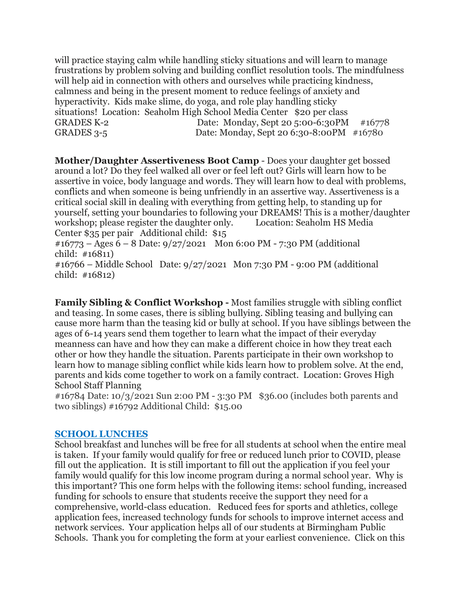will practice staying calm while handling sticky situations and will learn to manage frustrations by problem solving and building conflict resolution tools. The mindfulness will help aid in connection with others and ourselves while practicing kindness, calmness and being in the present moment to reduce feelings of anxiety and hyperactivity. Kids make slime, do yoga, and role play handling sticky situations! Location: Seaholm High School Media Center \$20 per class GRADES K-2 Date: Monday, Sept 20 5:00-6:30PM #16778 GRADES 3-5 Date: Monday, Sept 20 6:30-8:00PM #16780

**Mother/Daughter Assertiveness Boot Camp** - Does your daughter get bossed around a lot? Do they feel walked all over or feel left out? Girls will learn how to be assertive in voice, body language and words. They will learn how to deal with problems, conflicts and when someone is being unfriendly in an assertive way. Assertiveness is a critical social skill in dealing with everything from getting help, to standing up for yourself, setting your boundaries to following your DREAMS! This is a mother/daughter workshop; please register the daughter only. Location: Seaholm HS Media Center \$35 per pair Additional child: \$15

 $\text{\#16773}$  – Ages 6 – 8 Date: 9/27/2021 Mon 6:00 PM - 7:30 PM (additional child: #16811)

#16766 – Middle School Date: 9/27/2021 Mon 7:30 PM - 9:00 PM (additional child: #16812)

**Family Sibling & Conflict Workshop -** Most families struggle with sibling conflict and teasing. In some cases, there is sibling bullying. Sibling teasing and bullying can cause more harm than the teasing kid or bully at school. If you have siblings between the ages of 6-14 years send them together to learn what the impact of their everyday meanness can have and how they can make a different choice in how they treat each other or how they handle the situation. Parents participate in their own workshop to learn how to manage sibling conflict while kids learn how to problem solve. At the end, parents and kids come together to work on a family contract. Location: Groves High School Staff Planning

#16784 Date: 10/3/2021 Sun 2:00 PM - 3:30 PM \$36.00 (includes both parents and two siblings) #16792 Additional Child: \$15.00

#### **SCHOOL LUNCHES**

School breakfast and lunches will be free for all students at school when the entire meal is taken. If your family would qualify for free or reduced lunch prior to COVID, please fill out the application. It is still important to fill out the application if you feel your family would qualify for this low income program during a normal school year. Why is this important? This one form helps with the following items: school funding, increased funding for schools to ensure that students receive the support they need for a comprehensive, world-class education. Reduced fees for sports and athletics, college application fees, increased technology funds for schools to improve internet access and network services. Your application helps all of our students at Birmingham Public Schools. Thank you for completing the form at your earliest convenience. Click on this